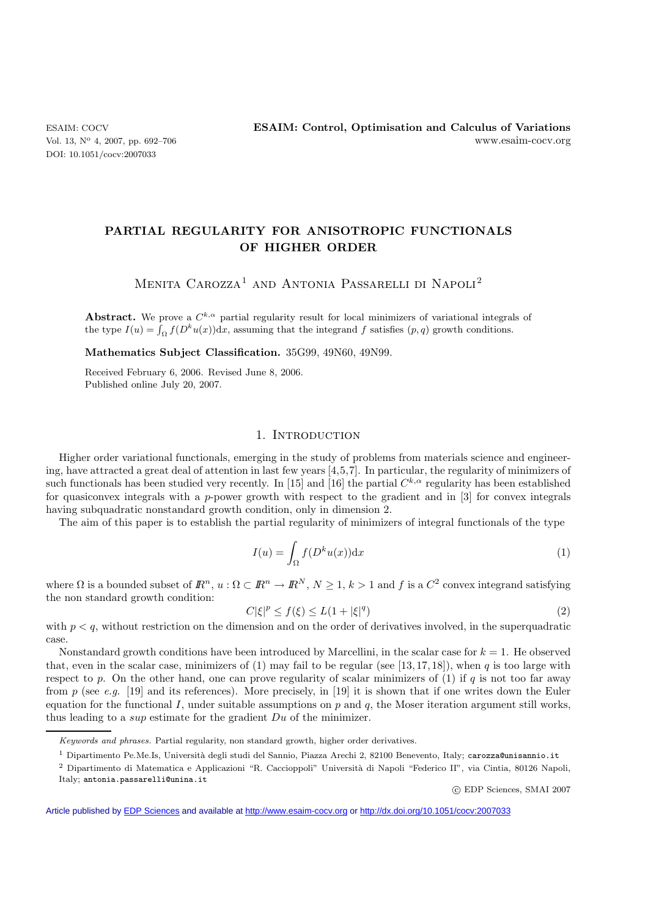# **PARTIAL REGULARITY FOR ANISOTROPIC FUNCTIONALS OF HIGHER ORDER**

MENITA CAROZZA<sup>1</sup> AND ANTONIA PASSARELLI DI NAPOLI<sup>2</sup>

**Abstract.** We prove a  $C^{k,\alpha}$  partial regularity result for local minimizers of variational integrals of the type  $I(u) = \int_{\Omega} f(D^k u(x)) dx$ , assuming that the integrand f satisfies  $(p, q)$  growth conditions.

**Mathematics Subject Classification.** 35G99, 49N60, 49N99.

Received February 6, 2006. Revised June 8, 2006. Published online July 20, 2007.

## 1. INTRODUCTION

Higher order variational functionals, emerging in the study of problems from materials science and engineering, have attracted a great deal of attention in last few years [4,5,7]. In particular, the regularity of minimizers of such functionals has been studied very recently. In [15] and [16] the partial  $C^{k,\alpha}$  regularity has been established for quasiconvex integrals with a p-power growth with respect to the gradient and in  $\lceil 3 \rceil$  for convex integrals having subquadratic nonstandard growth condition, only in dimension 2.

The aim of this paper is to establish the partial regularity of minimizers of integral functionals of the type

$$
I(u) = \int_{\Omega} f(D^k u(x)) dx
$$
 (1)

where  $\Omega$  is a bounded subset of  $\mathbb{R}^n$ ,  $u : \Omega \subset \mathbb{R}^n \to \mathbb{R}^N$ ,  $N \geq 1$ ,  $k > 1$  and f is a  $C^2$  convex integrand satisfying the non standard growth condition:

$$
C|\xi|^p \le f(\xi) \le L(1+|\xi|^q) \tag{2}
$$

with  $p < q$ , without restriction on the dimension and on the order of derivatives involved, in the superquadratic case.

Nonstandard growth conditions have been introduced by Marcellini, in the scalar case for  $k = 1$ . He observed that, even in the scalar case, minimizers of  $(1)$  may fail to be regular (see [13,17,18]), when q is too large with respect to p. On the other hand, one can prove regularity of scalar minimizers of (1) if q is not too far away from p (see *e.g.* [19] and its references). More precisely, in [19] it is shown that if one writes down the Euler equation for the functional I, under suitable assumptions on  $p$  and  $q$ , the Moser iteration argument still works, thus leading to a sup estimate for the gradient Du of the minimizer.

 $1$  Dipartimento Pe.Me.Is, Università degli studi del Sannio, Piazza Arechi 2, 82100 Benevento, Italy; carozza@unisannio.it

c EDP Sciences, SMAI 2007

Article published by [EDP Sciences](http://www.edpsciences.org) and available at<http://www.esaim-cocv.org> or <http://dx.doi.org/10.1051/cocv:2007033>

Keywords and phrases. Partial regularity, non standard growth, higher order derivatives.

<sup>&</sup>lt;sup>2</sup> Dipartimento di Matematica e Applicazioni "R. Caccioppoli" Università di Napoli "Federico II", via Cintia, 80126 Napoli, Italy; antonia.passarelli@unina.it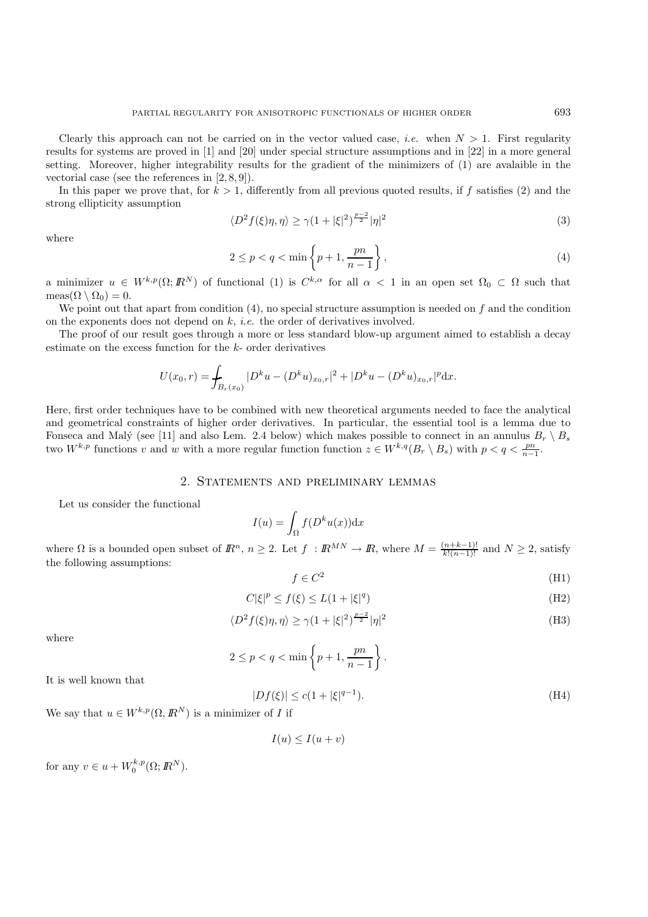Clearly this approach can not be carried on in the vector valued case, *i.e.* when  $N > 1$ . First regularity results for systems are proved in [1] and [20] under special structure assumptions and in [22] in a more general setting. Moreover, higher integrability results for the gradient of the minimizers of (1) are avalaible in the vectorial case (see the references in [2, 8, 9]).

In this paper we prove that, for  $k > 1$ , differently from all previous quoted results, if f satisfies (2) and the strong ellipticity assumption

$$
\langle D^2 f(\xi)\eta, \eta \rangle \ge \gamma (1 + |\xi|^2)^{\frac{p-2}{2}} |\eta|^2 \tag{3}
$$

where

$$
2 \le p < q < \min\left\{p+1, \frac{pn}{n-1}\right\},\tag{4}
$$

a minimizer  $u \in W^{k,p}(\Omega; \mathbb{R}^N)$  of functional (1) is  $C^{k,\alpha}$  for all  $\alpha < 1$  in an open set  $\Omega_0 \subset \Omega$  such that  $meas(\Omega \setminus \Omega_0) = 0.$ 

We point out that apart from condition  $(4)$ , no special structure assumption is needed on f and the condition on the exponents does not depend on k, *i.e.* the order of derivatives involved.

The proof of our result goes through a more or less standard blow-up argument aimed to establish a decay estimate on the excess function for the k- order derivatives

$$
U(x_0,r) = \int_{B_r(x_0)} |D^k u - (D^k u)_{x_0,r}|^2 + |D^k u - (D^k u)_{x_0,r}|^p dx.
$$

Here, first order techniques have to be combined with new theoretical arguments needed to face the analytical and geometrical constraints of higher order derivatives. In particular, the essential tool is a lemma due to Fonseca and Malý (see [11] and also Lem. 2.4 below) which makes possible to connect in an annulus  $B_r \setminus B_s$ two  $W^{k,p}$  functions v and w with a more regular function function  $z \in W^{k,q}(B_r \setminus B_s)$  with  $p < q < \frac{pn}{n-1}$ .

## 2. Statements and preliminary lemmas

Let us consider the functional

$$
I(u) = \int_{\Omega} f(D^k u(x)) \mathrm{d}x
$$

where  $\Omega$  is a bounded open subset of  $\mathbb{R}^n$ ,  $n \geq 2$ . Let  $f : \mathbb{R}^{MN} \to \mathbb{R}$ , where  $M = \frac{(n+k-1)!}{k!(n-1)!}$  and  $N \geq 2$ , satisfy the following assumptions:

$$
f \in C^2 \tag{H1}
$$

$$
C|\xi|^p \le f(\xi) \le L(1+|\xi|^q)
$$
\n(H2)

$$
\langle D^2 f(\xi)\eta, \eta \rangle \ge \gamma \left(1 + |\xi|^2\right)^{\frac{p-2}{2}} |\eta|^2 \tag{H3}
$$

where

$$
2 \le p < q < \min\left\{p+1, \frac{pn}{n-1}\right\}.
$$

It is well known that

$$
|Df(\xi)| \le c(1 + |\xi|^{q-1}).\tag{H4}
$$

We say that  $u \in W^{k,p}(\Omega,\mathbb{R}^N)$  is a minimizer of I if

$$
I(u) \le I(u+v)
$$

for any  $v \in u + W_0^{k,p}(\Omega; \mathbb{R}^N)$ .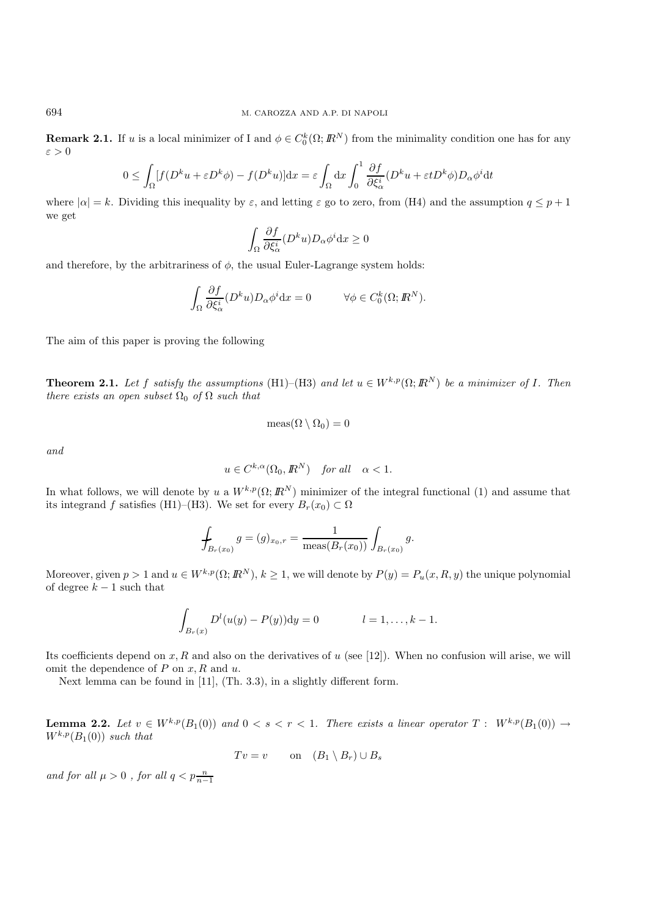**Remark 2.1.** If u is a local minimizer of I and  $\phi \in C_0^k(\Omega; \mathbb{R}^N)$  from the minimality condition one has for any  $\varepsilon > 0$ 

$$
0 \leq \int_{\Omega} [f(D^k u + \varepsilon D^k \phi) - f(D^k u)] \mathrm{d}x = \varepsilon \int_{\Omega} \mathrm{d}x \int_0^1 \frac{\partial f}{\partial \xi_{\alpha}^i} (D^k u + \varepsilon t D^k \phi) D_{\alpha} \phi^i \mathrm{d}t
$$

where  $|\alpha| = k$ . Dividing this inequality by  $\varepsilon$ , and letting  $\varepsilon$  go to zero, from (H4) and the assumption  $q \leq p+1$ we get

$$
\int_{\Omega} \frac{\partial f}{\partial \xi_{\alpha}^{i}} (D^{k}u) D_{\alpha} \phi^{i} \mathrm{d}x \ge 0
$$

and therefore, by the arbitrariness of  $\phi$ , the usual Euler-Lagrange system holds:

$$
\int_{\Omega} \frac{\partial f}{\partial \xi_{\alpha}^{i}} (D^{k} u) D_{\alpha} \phi^{i} dx = 0 \qquad \forall \phi \in C_{0}^{k}(\Omega; \mathbb{R}^{N}).
$$

The aim of this paper is proving the following

**Theorem 2.1.** *Let* f *satisfy the assumptions* (H1)–(H3) *and let*  $u \in W^{k,p}(\Omega; \mathbb{R}^N)$  *be a minimizer of* I. Then *there exists an open subset*  $\Omega_0$  *of*  $\Omega$  *such that* 

$$
\operatorname{meas}(\Omega \setminus \Omega_0) = 0
$$

*and*

$$
u \in C^{k,\alpha}(\Omega_0, \mathbb{R}^N) \quad \text{for all} \quad \alpha < 1.
$$

In what follows, we will denote by u a  $W^{k,p}(\Omega;\mathbb{R}^N)$  minimizer of the integral functional (1) and assume that its integrand f satisfies (H1)–(H3). We set for every  $B_r(x_0) \subset \Omega$ 

$$
\oint_{B_r(x_0)} g = (g)_{x_0,r} = \frac{1}{\text{meas}(B_r(x_0))} \int_{B_r(x_0)} g.
$$

Moreover, given  $p > 1$  and  $u \in W^{k,p}(\Omega; \mathbb{R}^N)$ ,  $k \ge 1$ , we will denote by  $P(y) = P_u(x, R, y)$  the unique polynomial of degree  $k-1$  such that

$$
\int_{B_r(x)} D^{l}(u(y) - P(y)) dy = 0 \qquad l = 1, ..., k - 1.
$$

Its coefficients depend on  $x, R$  and also on the derivatives of  $u$  (see [12]). When no confusion will arise, we will omit the dependence of  $P$  on  $x, R$  and  $u$ .

Next lemma can be found in [11], (Th. 3.3), in a slightly different form.

**Lemma 2.2.** Let  $v \in W^{k,p}(B_1(0))$  and  $0 < s < r < 1$ . There exists a linear operator  $T : W^{k,p}(B_1(0)) \to W^{k,p}(B_1(0))$  $W^{k,p}(B_1(0))$  *such that* 

$$
Tv = v
$$
 on  $(B_1 \setminus B_r) \cup B_s$ 

*and for all*  $\mu > 0$  *, for all*  $q < p \frac{n}{n-1}$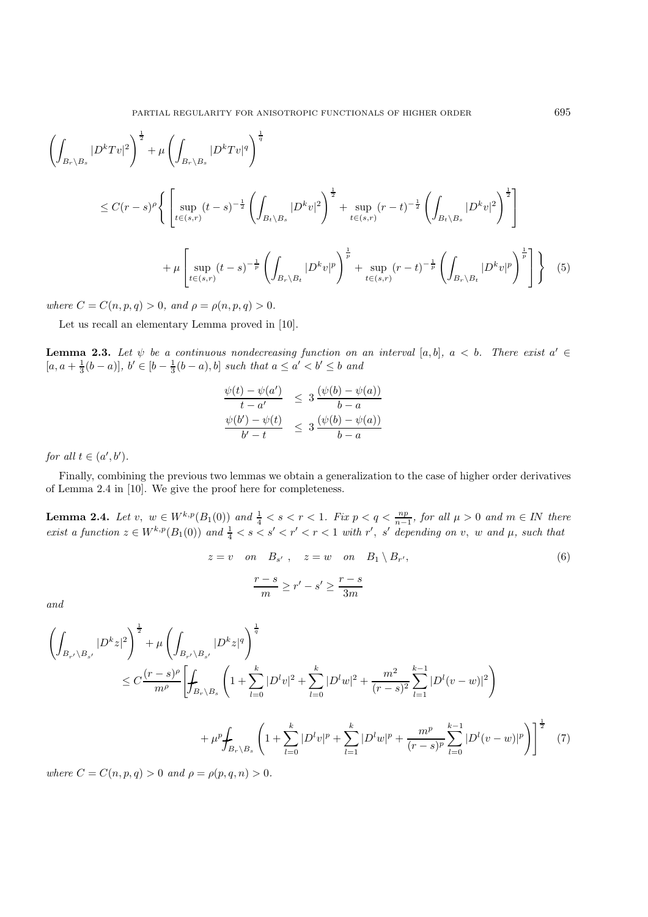$$
\left(\int_{B_r \backslash B_s} |D^k T v|^2\right)^{\frac{1}{2}} + \mu \left(\int_{B_r \backslash B_s} |D^k T v|^q\right)^{\frac{1}{q}}
$$
\n
$$
\leq C(r-s)^{\rho} \left\{ \left[\sup_{t \in (s,r)} (t-s)^{-\frac{1}{2}} \left(\int_{B_t \backslash B_s} |D^k v|^2\right)^{\frac{1}{2}} + \sup_{t \in (s,r)} (r-t)^{-\frac{1}{2}} \left(\int_{B_t \backslash B_s} |D^k v|^2\right)^{\frac{1}{2}}\right] + \mu \left[\sup_{t \in (s,r)} (t-s)^{-\frac{1}{p}} \left(\int_{B_r \backslash B_t} |D^k v|^p\right)^{\frac{1}{p}} + \sup_{t \in (s,r)} (r-t)^{-\frac{1}{p}} \left(\int_{B_r \backslash B_t} |D^k v|^p\right)^{\frac{1}{p}}\right] \right\} (5)
$$

*where*  $C = C(n, p, q) > 0$ *, and*  $\rho = \rho(n, p, q) > 0$ *.* 

Let us recall an elementary Lemma proved in [10].

**Lemma 2.3.** Let  $\psi$  be a continuous nondecreasing function on an interval [a, b],  $a < b$ . There exist  $a' \in$  $[a, a + \frac{1}{3}(b - a)], b' \in [b - \frac{1}{3}(b - a), b]$  *such that*  $a \le a' < b' \le b$  *and* 

$$
\frac{\psi(t) - \psi(a')}{t - a'} \leq 3 \frac{(\psi(b) - \psi(a))}{b - a}
$$
  

$$
\frac{\psi(b') - \psi(t)}{b' - t} \leq 3 \frac{(\psi(b) - \psi(a))}{b - a}
$$

*for all*  $t \in (a', b')$ .

Finally, combining the previous two lemmas we obtain a generalization to the case of higher order derivatives of Lemma 2.4 in [10]. We give the proof here for completeness.

**Lemma 2.4.** *Let*  $v, w \in W^{k,p}(B_1(0))$  *and*  $\frac{1}{4} < s < r < 1$ *. Fix*  $p < q < \frac{np}{n-1}$ *, for all*  $\mu > 0$  *and*  $m \in IN$  *there*  $$ 

$$
z = v \quad on \quad B_{s'}, \quad z = w \quad on \quad B_1 \setminus B_{r'},
$$

$$
\frac{r - s}{m} \ge r' - s' \ge \frac{r - s}{3m}
$$

$$
(6)
$$

*and*

$$
\left(\int_{B_{r'}\backslash B_{s'}} |D^k z|^2\right)^{\frac{1}{2}} + \mu \left(\int_{B_{r'}\backslash B_{s'}} |D^k z|^q\right)^{\frac{1}{q}} \n\leq C \frac{(r-s)^{\rho}}{m^{\rho}} \left[\int_{B_r\backslash B_s} \left(1 + \sum_{l=0}^k |D^l v|^2 + \sum_{l=0}^k |D^l w|^2 + \frac{m^2}{(r-s)^2} \sum_{l=1}^{k-1} |D^l (v-w)|^2\right) \right. \n\left. + \mu^p \int_{B_r\backslash B_s} \left(1 + \sum_{l=0}^k |D^l v|^p + \sum_{l=1}^k |D^l w|^p + \frac{m^p}{(r-s)^p} \sum_{l=0}^{k-1} |D^l (v-w)|^p\right)\right]^{\frac{1}{2}} \tag{7}
$$

*where*  $C = C(n, p, q) > 0$  *and*  $\rho = \rho(p, q, n) > 0$ *.*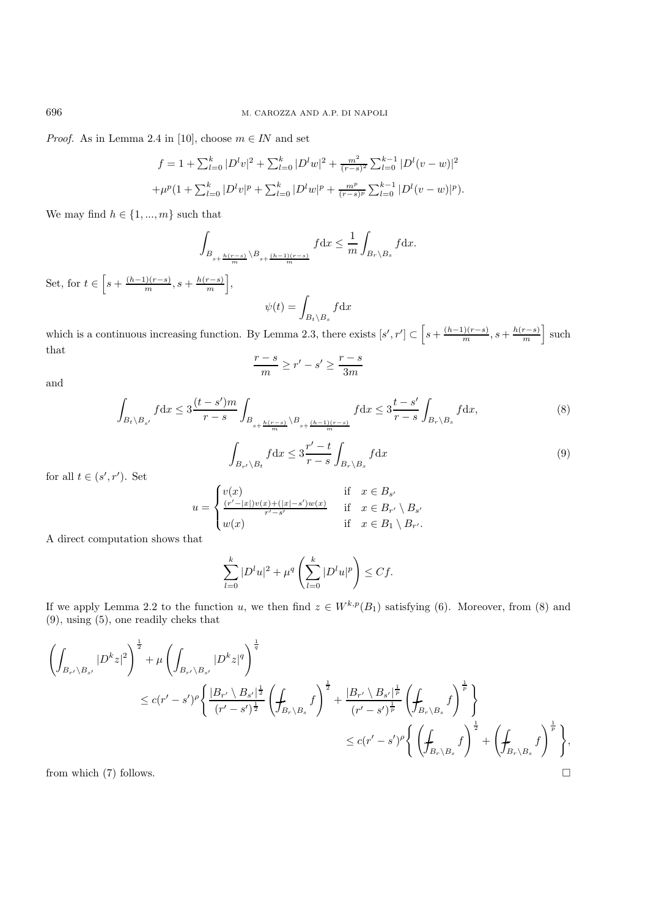*Proof.* As in Lemma 2.4 in [10], choose  $m \in IN$  and set

$$
f = 1 + \sum_{l=0}^{k} |D^l v|^2 + \sum_{l=0}^{k} |D^l w|^2 + \frac{m^2}{(r-s)^2} \sum_{l=0}^{k-1} |D^l (v - w)|^2
$$
  
+ 
$$
\mu^p (1 + \sum_{l=0}^{k} |D^l v|^p + \sum_{l=0}^{k} |D^l w|^p + \frac{m^p}{(r-s)^p} \sum_{l=0}^{k-1} |D^l (v - w)|^p).
$$

We may find  $h \in \{1, ..., m\}$  such that

$$
\int_{B_{s+\frac{h(r-s)}{m}}\backslash B_{s+\frac{(h-1)(r-s)}{m}}} f \mathrm{d} x \leq \frac{1}{m} \int_{B_r \backslash B_s} f \mathrm{d} x.
$$

Set, for  $t \in \left[ s + \frac{(h-1)(r-s)}{m}, s + \frac{h(r-s)}{m} \right]$ ,

$$
\psi(t) = \int_{B_t \setminus B_s} f \mathrm{d}x
$$

which is a continuous increasing function. By Lemma 2.3, there exists  $[s', r'] \subset \left[s + \frac{(h-1)(r-s)}{m}, s + \frac{h(r-s)}{m}\right]$  such that

$$
\frac{r-s}{m} \ge r' - s' \ge \frac{r-s}{3m}
$$

and

$$
\int_{B_t \setminus B_{s'}} f \, dx \le 3 \frac{(t - s')m}{r - s} \int_{B_{s + \frac{h(r - s)}{m}} \setminus B_{s + \frac{(h - 1)(r - s)}{m}}} f \, dx \le 3 \frac{t - s'}{r - s} \int_{B_r \setminus B_s} f \, dx,\tag{8}
$$

$$
\int_{B_{r'}\backslash B_t} f \, dx \le 3 \frac{r'-t}{r-s} \int_{B_r\backslash B_s} f \, dx \tag{9}
$$

for all  $t \in (s', r')$ . Set

$$
u = \begin{cases} v(x) & \text{if } x \in B_{s'} \\ \frac{(r'-|x|)v(x)+(|x|-s')w(x)}{r'-s'} & \text{if } x \in B_{r'} \setminus B_{s'} \\ w(x) & \text{if } x \in B_1 \setminus B_{r'}. \end{cases}
$$

A direct computation shows that

$$
\sum_{l=0}^{k} |D^l u|^2 + \mu^q \left( \sum_{l=0}^{k} |D^l u|^p \right) \leq Cf.
$$

If we apply Lemma 2.2 to the function u, we then find  $z \in W^{k,p}(B_1)$  satisfying (6). Moreover, from (8) and (9), using (5), one readily cheks that

$$
\begin{split} \left(\int_{B_{r'}\backslash B_{s'}} |D^k z|^2\right)^{\frac{1}{2}} &+ \mu \left(\int_{B_{r'}\backslash B_{s'}} |D^k z|^q\right)^{\frac{1}{q}} \\ &\leq c (r'-s')^\rho \bigg\{ \frac{|B_{r'}\backslash B_{s'}|^{\frac{1}{2}}}{(r'-s')^{\frac{1}{2}}} \left(\int_{B_r\backslash B_s} f\right)^{\frac{1}{2}} + \frac{|B_{r'}\backslash B_{s'}|^{\frac{1}{p}}}{(r'-s')^{\frac{1}{p}}} \left(\int_{B_r\backslash B_s} f\right)^{\frac{1}{p}} \bigg\} \\ &\leq c (r'-s')^\rho \bigg\{ \left(\int_{B_r\backslash B_s} f\right)^{\frac{1}{2}} + \left(\int_{B_r\backslash B_s} f\right)^{\frac{1}{p}} \bigg\}, \end{split}
$$

from which (7) follows.  $\square$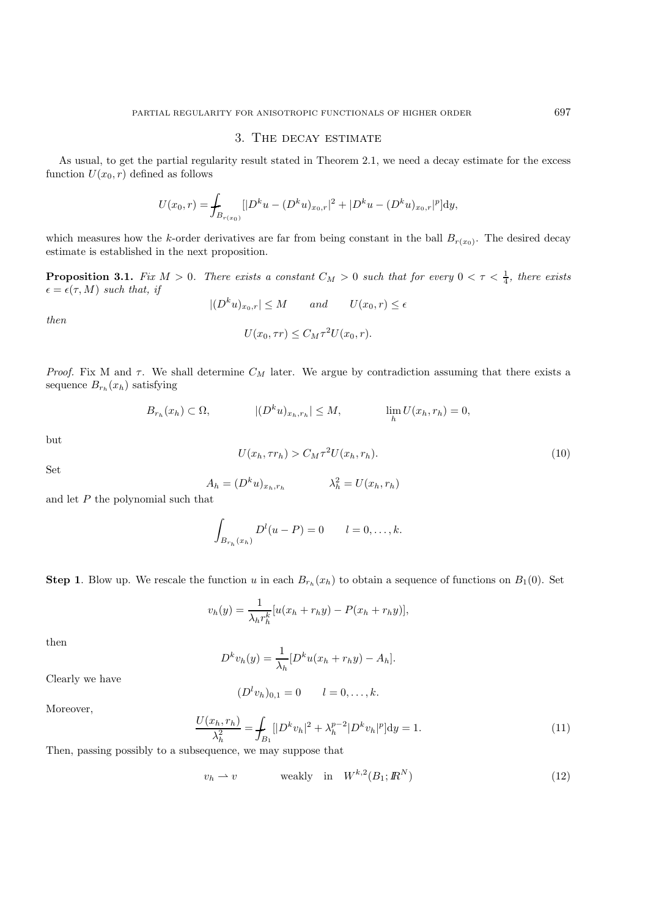## 3. The decay estimate

As usual, to get the partial regularity result stated in Theorem 2.1, we need a decay estimate for the excess function  $U(x_0, r)$  defined as follows

$$
U(x_0,r) = \int_{B_{r(x_0)}} [|D^k u - (D^k u)_{x_0,r}|^2 + |D^k u - (D^k u)_{x_0,r}|^p] dy,
$$

which measures how the k-order derivatives are far from being constant in the ball  $B_{r(x_0)}$ . The desired decay estimate is established in the next proposition.

**Proposition 3.1.** *Fix*  $M > 0$ . *There exists a constant*  $C_M > 0$  *such that for every*  $0 < \tau < \frac{1}{4}$ *, there exists*  $\epsilon = \epsilon(\tau, M)$  *such that, if* 

*then*

$$
|(D^k u)_{x_0,r}| \le M \quad \text{and} \quad U(x_0,r) \le \epsilon
$$
  

$$
U(x_0,\tau r) \le C_M \tau^2 U(x_0,r).
$$

*Proof.* Fix M and  $\tau$ . We shall determine  $C_M$  later. We argue by contradiction assuming that there exists a sequence  $B_{r_h}(x_h)$  satisfying

$$
B_{r_h}(x_h) \subset \Omega, \qquad |(D^k u)_{x_h, r_h}| \le M, \qquad \lim_h U(x_h, r_h) = 0,
$$

but

$$
U(x_h, \tau r_h) > C_M \tau^2 U(x_h, r_h). \tag{10}
$$

Set

$$
A_h = (D^k u)_{x_h, r_h} \qquad \lambda_h^2 = U(x_h, r_h)
$$

and let  $P$  the polynomial such that

$$
\int_{B_{r_h}(x_h)} D^l(u - P) = 0 \qquad l = 0, \dots, k.
$$

**Step 1**. Blow up. We rescale the function u in each  $B_{r_h}(x_h)$  to obtain a sequence of functions on  $B_1(0)$ . Set

$$
v_h(y) = \frac{1}{\lambda_h r_h^k} [u(x_h + r_h y) - P(x_h + r_h y)],
$$

then

$$
D^k v_h(y) = \frac{1}{\lambda_h} [D^k u(x_h + r_h y) - A_h].
$$

Clearly we have

$$
(D^l v_h)_{0,1} = 0 \qquad l = 0,\ldots,k.
$$

Moreover,

$$
\frac{U(x_h, r_h)}{\lambda_h^2} = \int_{B_1} [|D^k v_h|^2 + \lambda_h^{p-2} |D^k v_h|^p] dy = 1.
$$
\n(11)

Then, passing possibly to a subsequence, we may suppose that

$$
v_h \rightharpoonup v \qquad \text{weakly} \quad \text{in} \quad W^{k,2}(B_1; \mathbb{R}^N) \tag{12}
$$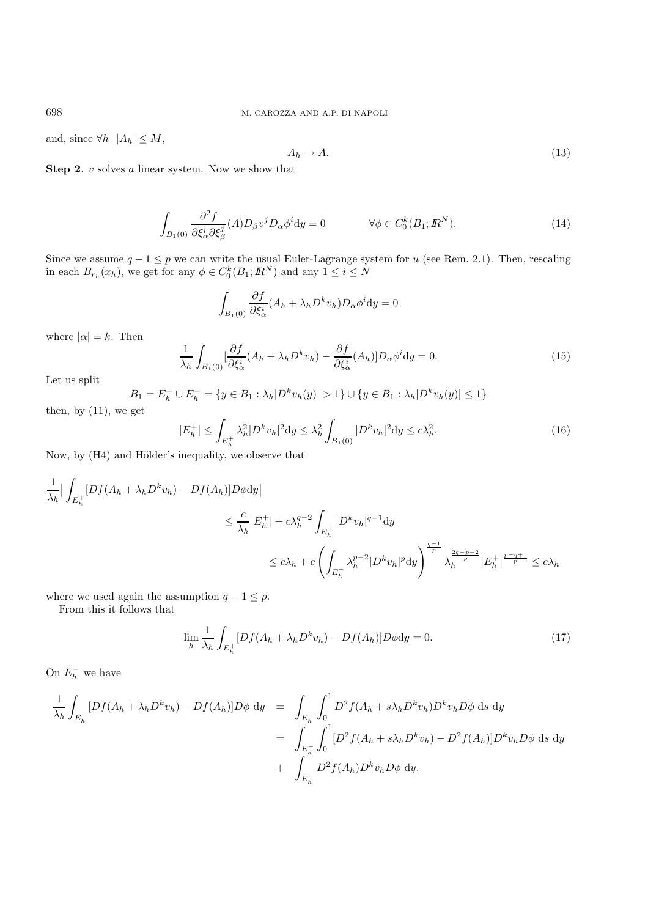and, since  $\forall h \ \ |A_h| \leq M$ ,

$$
A_h \to A. \tag{13}
$$

**Step 2**. *v* solves *a* linear system. Now we show that

$$
\int_{B_1(0)} \frac{\partial^2 f}{\partial \xi_\alpha^i \partial \xi_\beta^j} (A) D_\beta v^j D_\alpha \phi^i dy = 0 \qquad \forall \phi \in C_0^k(B_1; \mathbb{R}^N). \tag{14}
$$

Since we assume  $q - 1 \leq p$  we can write the usual Euler-Lagrange system for u (see Rem. 2.1). Then, rescaling in each  $B_{r_h}(x_h)$ , we get for any  $\phi \in C_0^k(B_1; \mathbb{R}^N)$  and any  $1 \le i \le N$ 

$$
\int_{B_1(0)} \frac{\partial f}{\partial \xi_\alpha^i} (A_h + \lambda_h D^k v_h) D_\alpha \phi^i \mathrm{d}y = 0
$$

where  $|\alpha| = k$ . Then

$$
\frac{1}{\lambda_h} \int_{B_1(0)} \left[ \frac{\partial f}{\partial \xi_\alpha^i} (A_h + \lambda_h D^k v_h) - \frac{\partial f}{\partial \xi_\alpha^i} (A_h) \right] D_\alpha \phi^i \mathrm{d}y = 0. \tag{15}
$$

Let us split

$$
B_1 = E_h^+ \cup E_h^- = \{ y \in B_1 : \lambda_h |D^k v_h(y)| > 1 \} \cup \{ y \in B_1 : \lambda_h |D^k v_h(y)| \le 1 \}
$$

then, by (11), we get

$$
|E_h^+| \le \int_{E_h^+} \lambda_h^2 |D^k v_h|^2 \, \mathrm{d}y \le \lambda_h^2 \int_{B_1(0)} |D^k v_h|^2 \, \mathrm{d}y \le c\lambda_h^2. \tag{16}
$$

Now, by (H4) and Hölder's inequality, we observe that

$$
\frac{1}{\lambda_h} \Big| \int_{E_h^+} [Df(A_h + \lambda_h D^k v_h) - Df(A_h)] D\phi \, dy \Big|
$$
  
\n
$$
\leq \frac{c}{\lambda_h} |E_h^+| + c \lambda_h^{q-2} \int_{E_h^+} |D^k v_h|^{q-1} \, dy
$$
  
\n
$$
\leq c \lambda_h + c \left( \int_{E_h^+} \lambda_h^{p-2} |D^k v_h|^p \, dy \right)^{\frac{q-1}{p}} \lambda_h^{\frac{2q-p-2}{p}} |E_h^+|^{\frac{p-q+1}{p}} \leq c \lambda_h
$$

where we used again the assumption  $q - 1 \leq p$ .

From this it follows that

$$
\lim_{h} \frac{1}{\lambda_h} \int_{E_h^+} [Df(A_h + \lambda_h D^k v_h) - Df(A_h)] D\phi \mathrm{d}y = 0.
$$
\n(17)

On  $E_h^-$  we have

$$
\frac{1}{\lambda_h} \int_{E_h^-} [Df(A_h + \lambda_h D^k v_h) - Df(A_h)]D\phi \, dy = \int_{E_h^-} \int_0^1 D^2 f(A_h + s\lambda_h D^k v_h) D^k v_h D\phi \, ds \, dy
$$
\n
$$
= \int_{E_h^-} \int_0^1 [D^2 f(A_h + s\lambda_h D^k v_h) - D^2 f(A_h)]D^k v_h D\phi \, ds \, dy
$$
\n
$$
+ \int_{E_h^-} D^2 f(A_h)D^k v_h D\phi \, dy.
$$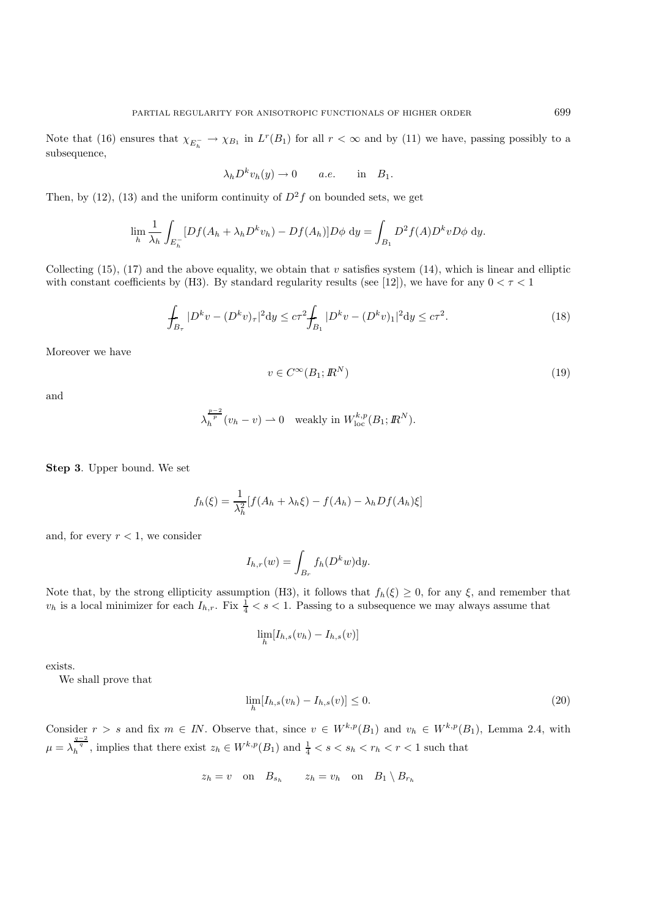Note that (16) ensures that  $\chi_{E_h^-} \to \chi_{B_1}$  in  $L^r(B_1)$  for all  $r < \infty$  and by (11) we have, passing possibly to a subsequence,

$$
\lambda_h D^k v_h(y) \to 0 \quad a.e. \quad \text{in} \quad B_1.
$$

Then, by (12), (13) and the uniform continuity of  $D^2f$  on bounded sets, we get

$$
\lim_{h} \frac{1}{\lambda_h} \int_{E_h^-} [Df(A_h + \lambda_h D^k v_h) - Df(A_h)] D\phi \, dy = \int_{B_1} D^2 f(A) D^k v D\phi \, dy.
$$

Collecting (15), (17) and the above equality, we obtain that v satisfies system (14), which is linear and elliptic with constant coefficients by (H3). By standard regularity results (see [12]), we have for any  $0 < \tau < 1$ 

$$
\int_{B_{\tau}} |D^k v - (D^k v)_{\tau}|^2 \mathrm{d}y \le c\tau^2 \int_{B_1} |D^k v - (D^k v)_{1}|^2 \mathrm{d}y \le c\tau^2. \tag{18}
$$

Moreover we have

$$
v \in C^{\infty}(B_1; \mathbb{R}^N) \tag{19}
$$

and

$$
\lambda_h^{\frac{p-2}{p}}(v_h - v) \rightharpoonup 0 \quad \text{weakly in } W_{\text{loc}}^{k,p}(B_1; \mathbb{R}^N).
$$

**Step 3**. Upper bound. We set

$$
f_h(\xi) = \frac{1}{\lambda_h^2} [f(A_h + \lambda_h \xi) - f(A_h) - \lambda_h Df(A_h)\xi]
$$

and, for every  $r < 1$ , we consider

$$
I_{h,r}(w) = \int_{B_r} f_h(D^k w) dy.
$$

Note that, by the strong ellipticity assumption (H3), it follows that  $f_h(\xi) \geq 0$ , for any  $\xi$ , and remember that  $v_h$  is a local minimizer for each  $I_{h,r}$ . Fix  $\frac{1}{4} < s < 1$ . Passing to a subsequence we may always assume that

$$
\lim_{h} [I_{h,s}(v_h) - I_{h,s}(v)]
$$

exists.

We shall prove that

$$
\lim_{h} [I_{h,s}(v_h) - I_{h,s}(v)] \le 0.
$$
\n(20)

Consider  $r>s$  and fix  $m \in IN$ . Observe that, since  $v \in W^{k,p}(B_1)$  and  $v_h \in W^{k,p}(B_1)$ , Lemma 2.4, with  $\mu = \lambda_h^{\frac{q-2}{q}}$ , implies that there exist  $z_h \in W^{k,p}(B_1)$  and  $\frac{1}{4} < s < s_h < r_h < r < 1$  such that

$$
z_h = v
$$
 on  $B_{s_h}$   $z_h = v_h$  on  $B_1 \setminus B_{r_h}$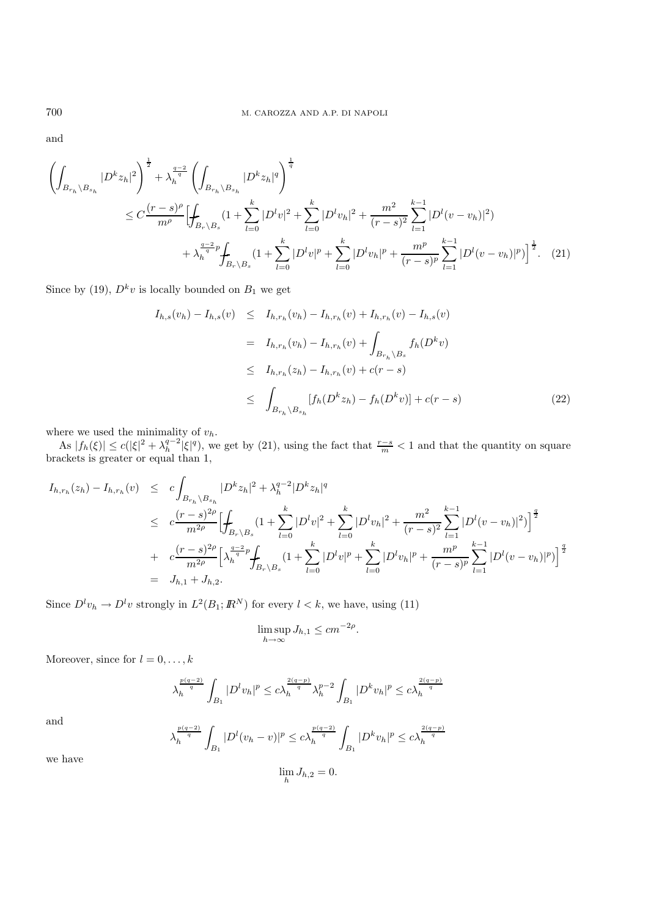and

$$
\left(\int_{B_{r_h}\setminus B_{s_h}} |D^k z_h|^2 \right)^{\frac{1}{2}} + \lambda_h^{\frac{q-2}{q}} \left(\int_{B_{r_h}\setminus B_{s_h}} |D^k z_h|^q \right)^{\frac{1}{q}}
$$
\n
$$
\leq C \frac{(r-s)^{\rho}}{m^{\rho}} \Biggl[ \int_{B_r\setminus B_s} (1 + \sum_{l=0}^k |D^l v|^2 + \sum_{l=0}^k |D^l v_h|^2 + \frac{m^2}{(r-s)^2} \sum_{l=1}^{k-1} |D^l (v - v_h)|^2 \Biggr)
$$
\n
$$
+ \lambda_h^{\frac{q-2}{q}p} \int_{B_r\setminus B_s} (1 + \sum_{l=0}^k |D^l v|^p + \sum_{l=0}^k |D^l v_h|^p + \frac{m^p}{(r-s)^p} \sum_{l=1}^{k-1} |D^l (v - v_h)|^p \Biggr)^{\frac{1}{2}}.
$$
\n(21)

Since by (19),  $D^k v$  is locally bounded on  $B_1$  we get

$$
I_{h,s}(v_h) - I_{h,s}(v) \leq I_{h,r_h}(v_h) - I_{h,r_h}(v) + I_{h,r_h}(v) - I_{h,s}(v)
$$
  

$$
= I_{h,r_h}(v_h) - I_{h,r_h}(v) + \int_{B_{r_h} \setminus B_s} f_h(D^k v)
$$
  

$$
\leq I_{h,r_h}(z_h) - I_{h,r_h}(v) + c(r - s)
$$
  

$$
\leq \int_{B_{r_h} \setminus B_{s_h}} [f_h(D^k z_h) - f_h(D^k v)] + c(r - s)
$$
 (22)

where we used the minimality of  $v_h$ .

As  $|f_h(\xi)| \le c(|\xi|^2 + \lambda_h^{q-2} |\xi|^q)$ , we get by (21), using the fact that  $\frac{r-s}{m} < 1$  and that the quantity on square brackets is greater or equal than 1,

$$
I_{h,r_h}(z_h) - I_{h,r_h}(v) \leq c \int_{B_{r_h} \setminus B_{s_h}} |D^k z_h|^2 + \lambda_h^{q-2} |D^k z_h|^q
$$
  
\n
$$
\leq c \frac{(r-s)^{2\rho}}{m^{2\rho}} \Biggl[ \int_{B_r \setminus B_s} (1 + \sum_{l=0}^k |D^l v|^2 + \sum_{l=0}^k |D^l v_h|^2 + \frac{m^2}{(r-s)^2} \sum_{l=1}^{k-1} |D^l (v - v_h)|^2 \Biggr]^{\frac{q}{2}}
$$
  
\n
$$
+ c \frac{(r-s)^{2\rho}}{m^{2\rho}} \Biggl[ \lambda_h^{\frac{q-2}{q}p} \int_{B_r \setminus B_s} (1 + \sum_{l=0}^k |D^l v|^p + \sum_{l=0}^k |D^l v_h|^p + \frac{m^p}{(r-s)^p} \sum_{l=1}^{k-1} |D^l (v - v_h)|^p \Biggr]^{\frac{q}{2}}
$$
  
\n
$$
= J_{h,1} + J_{h,2}.
$$

Since  $D^l v_h \to D^l v$  strongly in  $L^2(B_1; \mathbb{R}^N)$  for every  $l < k$ , we have, using (11)

$$
\limsup_{h \to \infty} J_{h,1} \le cm^{-2\rho}.
$$

Moreover, since for  $l = 0, \ldots, k$ 

$$
\lambda_h^{\frac{p(q-2)}{q}}\int_{B_1} |D^lv_h|^p \leq c \lambda_h^{\frac{2(q-p)}{q}} \lambda_h^{p-2}\int_{B_1} |D^kv_h|^p \leq c \lambda_h^{\frac{2(q-p)}{q}}
$$

and

$$
\lambda_h^{\frac{p(q-2)}{q}}\int_{B_1} |D^l(v_h-v)|^p \leq c \lambda_h^{\frac{p(q-2)}{q}}\int_{B_1} |D^k v_h|^p \leq c \lambda_h^{\frac{2(q-p)}{q}}
$$

we have

$$
\lim_{h} J_{h,2} = 0.
$$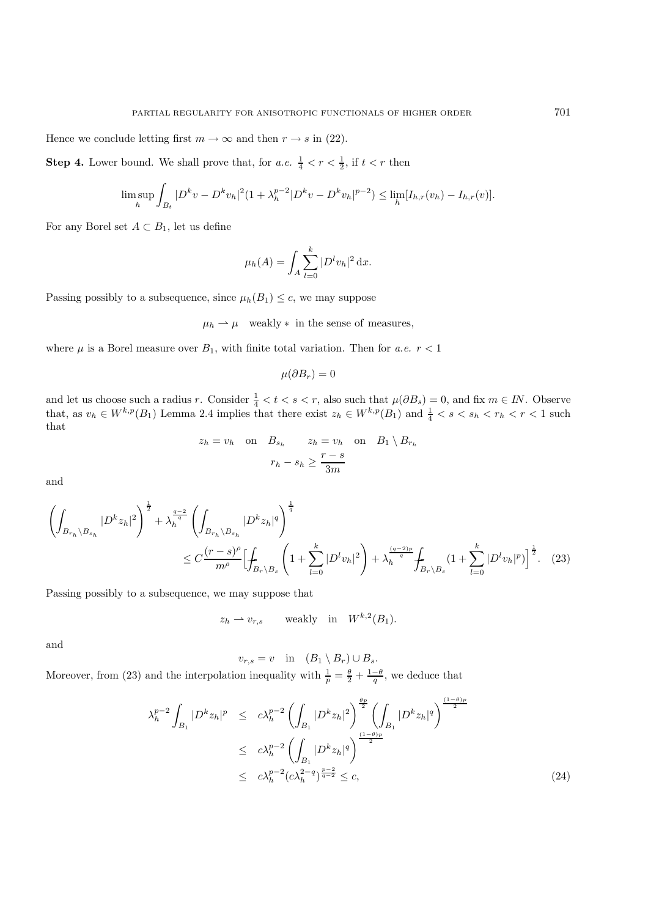Hence we conclude letting first  $m \to \infty$  and then  $r \to s$  in (22).

**Step 4.** Lower bound. We shall prove that, for *a.e.*  $\frac{1}{4} < r < \frac{1}{2}$ , if  $t < r$  then

$$
\limsup_{h} \int_{B_t} |D^k v - D^k v_h|^2 (1 + \lambda_h^{p-2} |D^k v - D^k v_h|^{p-2}) \leq \lim_{h} [I_{h,r}(v_h) - I_{h,r}(v)].
$$

For any Borel set  $A \subset B_1$ , let us define

$$
\mu_h(A) = \int_A \sum_{l=0}^k |D^l v_h|^2 \, \mathrm{d}x.
$$

Passing possibly to a subsequence, since  $\mu_h(B_1) \leq c$ , we may suppose

 $\mu_h \rightharpoonup \mu$  weakly  $*$  in the sense of measures,

where  $\mu$  is a Borel measure over  $B_1$ , with finite total variation. Then for *a.e.*  $r < 1$ 

$$
\mu(\partial B_r)=0
$$

and let us choose such a radius r. Consider  $\frac{1}{4} < t < s < r$ , also such that  $\mu(\partial B_s) = 0$ , and fix  $m \in IN$ . Observe that, as  $v_h \in W^{k,p}(B_1)$  Lemma 2.4 implies that there exist  $z_h \in W^{k,p}(B_1)$  and  $\frac{1}{4} < s < s_h < r_h < r < 1$  such that

$$
z_h = v_h
$$
 on  $B_{s_h}$   $z_h = v_h$  on  $B_1 \setminus B_{r_h}$   
 $r_h - s_h \ge \frac{r - s}{3m}$ 

and

$$
\left(\int_{B_{r_h}\setminus B_{s_h}} |D^k z_h|^2 \right)^{\frac{1}{2}} + \lambda_h^{\frac{q-2}{q}} \left(\int_{B_{r_h}\setminus B_{s_h}} |D^k z_h|^q \right)^{\frac{1}{q}} \n\leq C \frac{(r-s)^{\rho}}{m^{\rho}} \Biggl[ \int_{B_r\setminus B_s} \left(1 + \sum_{l=0}^k |D^l v_h|^2 \right) + \lambda_h^{\frac{(q-2)p}{q}} \int_{B_r\setminus B_s} \left(1 + \sum_{l=0}^k |D^l v_h|^p \right)^{\frac{1}{2}}.
$$
\n(23)

Passing possibly to a subsequence, we may suppose that

$$
z_h \rightharpoonup v_{r,s}
$$
 weakly in  $W^{k,2}(B_1)$ .

and

 $v_{r,s} = v$  in  $(B_1 \setminus B_r) \cup B_s$ .

Moreover, from (23) and the interpolation inequality with  $\frac{1}{p} = \frac{\theta}{2} + \frac{1-\theta}{q}$ , we deduce that

$$
\lambda_h^{p-2} \int_{B_1} |D^k z_h|^p \le c \lambda_h^{p-2} \left( \int_{B_1} |D^k z_h|^2 \right)^{\frac{\theta_p}{2}} \left( \int_{B_1} |D^k z_h|^q \right)^{\frac{(1-\theta)p}{2}}
$$
  

$$
\le c \lambda_h^{p-2} \left( \int_{B_1} |D^k z_h|^q \right)^{\frac{(1-\theta)p}{2}}
$$
  

$$
\le c \lambda_h^{p-2} (c \lambda_h^{2-q})^{\frac{p-2}{q-2}} \le c,
$$
 (24)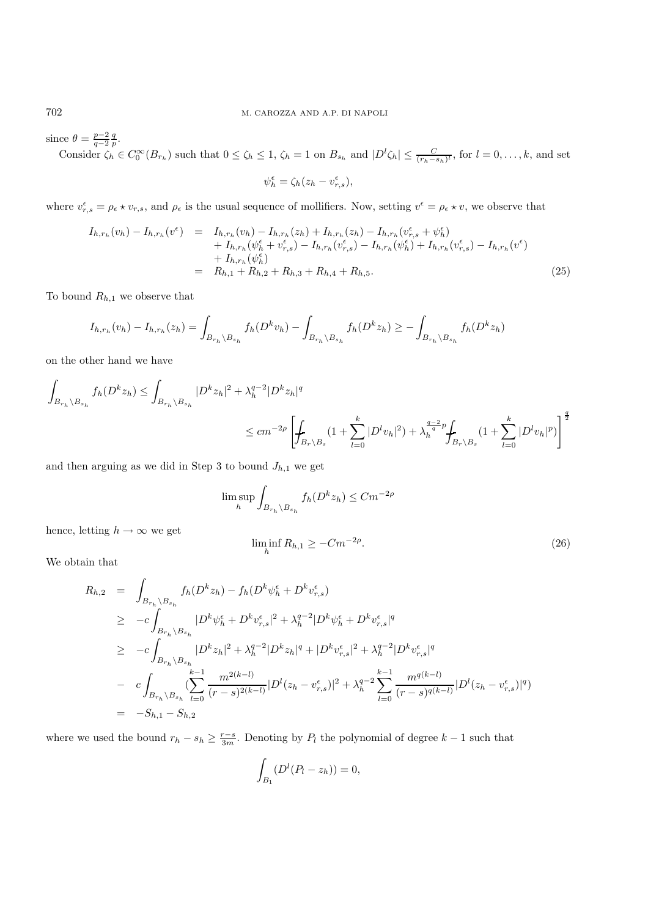since  $\theta = \frac{p-2}{q-2} \frac{q}{p}$ .

Consider  $\zeta_h \in C_0^{\infty}(B_{r_h})$  such that  $0 \le \zeta_h \le 1$ ,  $\zeta_h = 1$  on  $B_{s_h}$  and  $|D^l \zeta_h| \le \frac{C}{(r_h - s_h)^l}$ , for  $l = 0, \ldots, k$ , and set

$$
\psi_h^\epsilon = \zeta_h(z_h - v_{r,s}^\epsilon),
$$

where  $v_{r,s}^{\epsilon} = \rho_{\epsilon} \star v_{r,s}$ , and  $\rho_{\epsilon}$  is the usual sequence of mollifiers. Now, setting  $v^{\epsilon} = \rho_{\epsilon} \star v$ , we observe that

$$
I_{h,r_h}(v_h) - I_{h,r_h}(v^{\epsilon}) = I_{h,r_h}(v_h) - I_{h,r_h}(z_h) + I_{h,r_h}(z_h) - I_{h,r_h}(v^{\epsilon}_{r,s} + \psi^{\epsilon}_h) + I_{h,r_h}(\psi^{\epsilon}_h + v^{\epsilon}_{r,s}) - I_{h,r_h}(v^{\epsilon}_{r,s}) - I_{h,r_h}(\psi^{\epsilon}_h) + I_{h,r_h}(v^{\epsilon}_{r,s}) - I_{h,r_h}(v^{\epsilon}) + I_{h,r_h}(\psi^{\epsilon}_h) = R_{h,1} + R_{h,2} + R_{h,3} + R_{h,4} + R_{h,5}.
$$
\n(25)

To bound  $R_{h,1}$  we observe that

$$
I_{h,r_h}(v_h) - I_{h,r_h}(z_h) = \int_{B_{r_h} \backslash B_{s_h}} f_h(D^k v_h) - \int_{B_{r_h} \backslash B_{s_h}} f_h(D^k z_h) \ge - \int_{B_{r_h} \backslash B_{s_h}} f_h(D^k z_h)
$$

on the other hand we have

$$
\int_{B_{r_h} \backslash B_{s_h}} f_h(D^k z_h) \le \int_{B_{r_h} \backslash B_{s_h}} |D^k z_h|^2 + \lambda_h^{q-2} |D^k z_h|^q
$$
\n
$$
\le cm^{-2\rho} \left[ \int_{B_r \backslash B_s} (1 + \sum_{l=0}^k |D^l v_h|^2) + \lambda_h^{\frac{q-2}{q-p}} \int_{B_r \backslash B_s} (1 + \sum_{l=0}^k |D^l v_h|^p) \right]^{\frac{q}{2}}
$$

and then arguing as we did in Step 3 to bound  $J_{h,1}$  we get

$$
\limsup_{h} \int_{B_{r_h} \setminus B_{s_h}} f_h(D^k z_h) \leq Cm^{-2\rho}
$$

hence, letting  $h \to \infty$  we get

$$
\liminf_{h} R_{h,1} \ge -Cm^{-2\rho}.\tag{26}
$$

We obtain that

$$
R_{h,2} = \int_{B_{r_h} \setminus B_{s_h}} f_h(D^k z_h) - f_h(D^k \psi_h^{\epsilon} + D^k v_{r,s}^{\epsilon})
$$
  
\n
$$
\geq -c \int_{B_{r_h} \setminus B_{s_h}} |D^k \psi_h^{\epsilon} + D^k v_{r,s}^{\epsilon}|^2 + \lambda_h^{q-2} |D^k \psi_h^{\epsilon} + D^k v_{r,s}^{\epsilon}|^q
$$
  
\n
$$
\geq -c \int_{B_{r_h} \setminus B_{s_h}} |D^k z_h|^2 + \lambda_h^{q-2} |D^k z_h|^q + |D^k v_{r,s}^{\epsilon}|^2 + \lambda_h^{q-2} |D^k v_{r,s}^{\epsilon}|^q
$$
  
\n
$$
- c \int_{B_{r_h} \setminus B_{s_h}} (\sum_{l=0}^{k-1} \frac{m^{2(k-l)}}{(r-s)^{2(k-l)}} |D^l (z_h - v_{r,s}^{\epsilon})|^2 + \lambda_h^{q-2} \sum_{l=0}^{k-1} \frac{m^{q(k-l)}}{(r-s)^{q(k-l)}} |D^l (z_h - v_{r,s}^{\epsilon})|^q)
$$
  
\n
$$
= -S_{h,1} - S_{h,2}
$$

where we used the bound  $r_h - s_h \ge \frac{r-s}{3m}$ . Denoting by  $P_l$  the polynomial of degree  $k-1$  such that

$$
\int_{B_1} (D^l(P_l - z_h)) = 0,
$$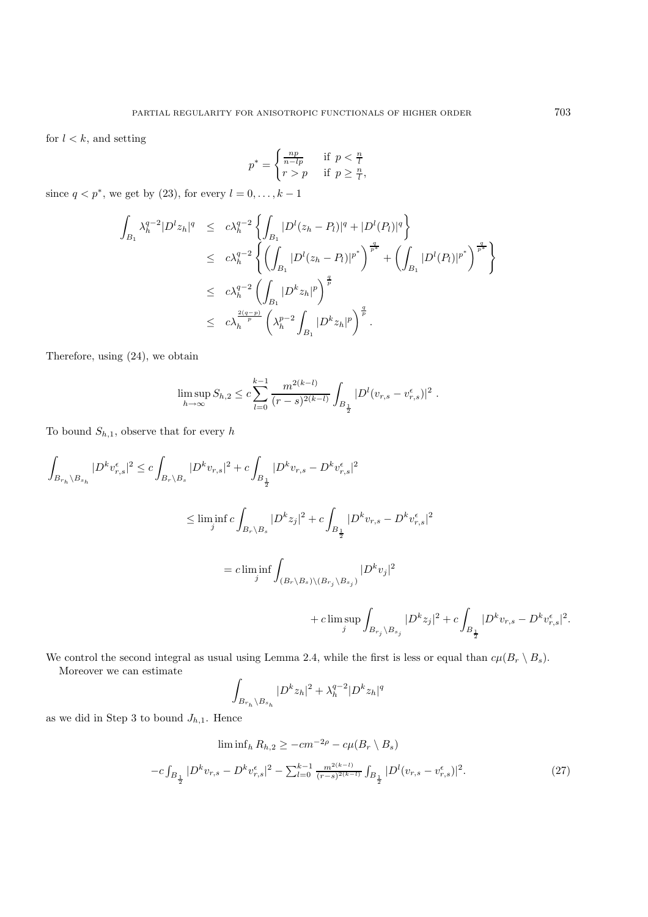for  $l < k$ , and setting

$$
p^* = \begin{cases} \frac{np}{n - lp} & \text{if } p < \frac{n}{l} \\ r > p & \text{if } p \ge \frac{n}{l}, \end{cases}
$$

since  $q < p^*$ , we get by (23), for every  $l = 0, \ldots, k - 1$ 

$$
\int_{B_1} \lambda_h^{q-2} |D^l z_h|^q \leq c \lambda_h^{q-2} \left\{ \int_{B_1} |D^l (z_h - P_l)|^q + |D^l (P_l)|^q \right\}
$$
  
\n
$$
\leq c \lambda_h^{q-2} \left\{ \left( \int_{B_1} |D^l (z_h - P_l)|^{p^*} \right)^{\frac{q}{p^*}} + \left( \int_{B_1} |D^l (P_l)|^{p^*} \right)^{\frac{q}{p^*}} \right\}
$$
  
\n
$$
\leq c \lambda_h^{q-2} \left( \int_{B_1} |D^k z_h|^p \right)^{\frac{q}{p}}
$$
  
\n
$$
\leq c \lambda_h^{\frac{2(q-p)}{p}} \left( \lambda_h^{p-2} \int_{B_1} |D^k z_h|^p \right)^{\frac{q}{p}}.
$$

Therefore, using (24), we obtain

$$
\limsup_{h \to \infty} S_{h,2} \le c \sum_{l=0}^{k-1} \frac{m^{2(k-l)}}{(r-s)^{2(k-l)}} \int_{B_{\frac{1}{2}}} |D^l(v_{r,s} - v_{r,s}^{\epsilon})|^2.
$$

To bound  $S_{h,1}$ , observe that for every h

$$
\begin{aligned} \int_{B_{r_h}\backslash B_{s_h}} |D^k v_{r,s}^\epsilon|^2 &\leq c \int_{B_r\backslash B_s} |D^k v_{r,s}|^2 + c \int_{B_{\frac{1}{2}}} |D^k v_{r,s} - D^k v_{r,s}^\epsilon|^2 \\ &\leq \liminf_j c \int_{B_r\backslash B_s} |D^k z_j|^2 + c \int_{B_{\frac{1}{2}}} |D^k v_{r,s} - D^k v_{r,s}^\epsilon|^2 \\ &= c \liminf_j \int_{(B_r\backslash B_s)\backslash (B_{r_j}\backslash B_{s_j})} |D^k v_j|^2 \\ &\qquad + c \limsup_j \int_{B_{r_j}\backslash B_{s_j}} |D^k z_j|^2 + c \int_{B_{\frac{1}{2}}} |D^k v_{r,s} - D^k v_{r,s}^\epsilon|^2. \end{aligned}
$$

We control the second integral as usual using Lemma 2.4, while the first is less or equal than  $c\mu(B_r \setminus B_s)$ . Moreover we can estimate

$$
\int_{B_{r_h}\setminus B_{s_h}} |D^k z_h|^2 + \lambda_h^{q-2} |D^k z_h|^q
$$

as we did in Step 3 to bound  $J_{h,1}$ . Hence

$$
\liminf_{h} R_{h,2} \ge -cm^{-2\rho} - c\mu(B_r \setminus B_s)
$$

$$
-c \int_{B_{\frac{1}{2}}} |D^k v_{r,s} - D^k v_{r,s}^{\epsilon}|^2 - \sum_{l=0}^{k-1} \frac{m^{2(k-l)}}{(r-s)^{2(k-l)}} \int_{B_{\frac{1}{2}}} |D^l (v_{r,s} - v_{r,s}^{\epsilon})|^2.
$$
(27)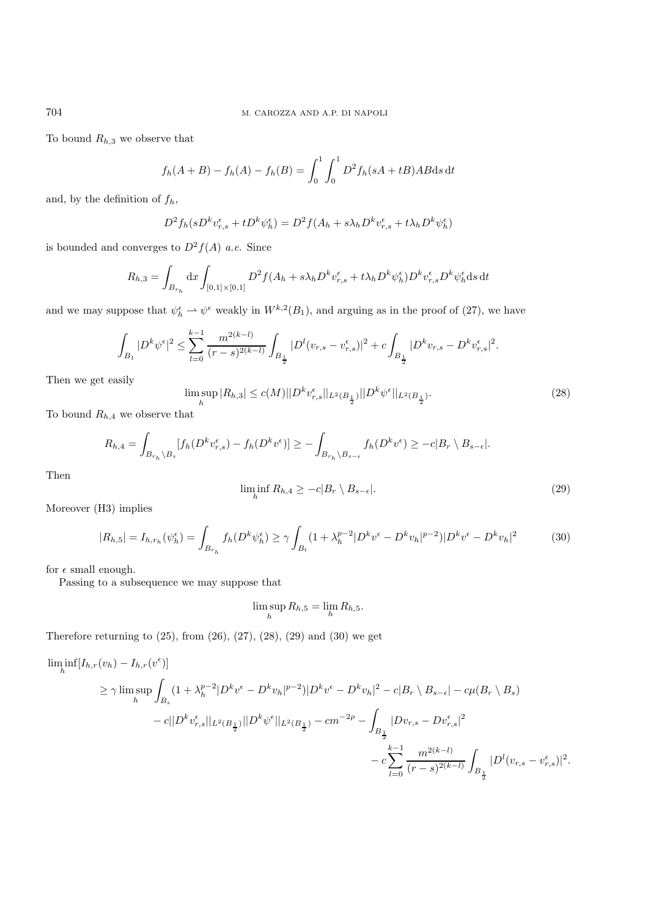To bound  $R_{h,3}$  we observe that

$$
f_h(A + B) - f_h(A) - f_h(B) = \int_0^1 \int_0^1 D^2 f_h(sA + tB) AB ds dt
$$

and, by the definition of  $f_h$ ,

$$
D^{2} f_{h}(sD^{k} v_{r,s}^{\epsilon} + tD^{k} \psi_{h}^{\epsilon}) = D^{2} f(A_{h} + s\lambda_{h} D^{k} v_{r,s}^{\epsilon} + t\lambda_{h} D^{k} \psi_{h}^{\epsilon})
$$

is bounded and converges to  $D^2 f(A)$  *a.e.* Since

$$
R_{h,3} = \int_{B_{r_h}} dx \int_{[0,1] \times [0,1]} D^2 f(A_h + s\lambda_h D^k v_{r,s}^{\epsilon} + t\lambda_h D^k \psi_h^{\epsilon}) D^k v_{r,s}^{\epsilon} D^k \psi_h^{\epsilon} ds dt
$$

and we may suppose that  $\psi_h^{\epsilon} \to \psi^{\epsilon}$  weakly in  $W^{k,2}(B_1)$ , and arguing as in the proof of (27), we have

$$
\int_{B_1}|D^k\psi^\epsilon|^2\leq \sum_{l=0}^{k-1}\frac{m^{2(k-l)}}{(r-s)^{2(k-l)}}\int_{B_\frac{1}{2}}|D^l(v_{r,s}-v^\epsilon_{r,s})|^2+c\int_{B_\frac{1}{2}}|D^kv_{r,s}-D^kv^\epsilon_{r,s}|^2.
$$

Then we get easily

$$
\limsup_{h} |R_{h,3}| \le c(M) ||D^k v_{r,s}^{\epsilon}||_{L^2(B_{\frac{1}{2}})} ||D^k \psi^{\epsilon}||_{L^2(B_{\frac{1}{2}})}.
$$
\n(28)

To bound  $R_{h,4}$  we observe that

$$
R_{h,4} = \int_{B_{r_h} \backslash B_s} [f_h(D^k v_{r,s}^{\epsilon}) - f_h(D^k v^{\epsilon})] \ge - \int_{B_{r_h} \backslash B_{s-\epsilon}} f_h(D^k v^{\epsilon}) \ge -c|B_r \backslash B_{s-\epsilon}|.
$$

Then

$$
\liminf_{h} R_{h,4} \ge -c|B_r \setminus B_{s-\epsilon}|. \tag{29}
$$

Moreover (H3) implies

$$
|R_{h,5}| = I_{h,r_h}(\psi_h^{\epsilon}) = \int_{B_{r_h}} f_h(D^k \psi_h^{\epsilon}) \ge \gamma \int_{B_t} (1 + \lambda_h^{p-2} |D^k v^{\epsilon} - D^k v_h|^{p-2}) |D^k v^{\epsilon} - D^k v_h|^2 \tag{30}
$$

for  $\epsilon$  small enough.

Passing to a subsequence we may suppose that

$$
\limsup_{h} R_{h,5} = \lim_{h} R_{h,5}.
$$

Therefore returning to  $(25)$ , from  $(26)$ ,  $(27)$ ,  $(28)$ ,  $(29)$  and  $(30)$  we get

$$
\liminf_{h} [I_{h,r}(v_h) - I_{h,r}(v^{\epsilon})] \ge \gamma \limsup_{h} \int_{B_s} (1 + \lambda_h^{p-2} |D^k v^{\epsilon} - D^k v_h|^{p-2}) |D^k v^{\epsilon} - D^k v_h|^2 - c|B_r \setminus B_{s-\epsilon}| - c\mu(B_r \setminus B_s) - c||D^k v_{r,s}^{\epsilon}||_{L^2(B_{\frac{1}{2}})} ||D^k \psi^{\epsilon}||_{L^2(B_{\frac{1}{2}})} - cm^{-2\rho} - \int_{B_{\frac{1}{2}}} |Dv_{r,s} - Dv_{r,s}^{\epsilon}|^2 - c \sum_{l=0}^{k-1} \frac{m^{2(k-l)}}{(r-s)^{2(k-l)}} \int_{B_{\frac{1}{2}}} |D^l (v_{r,s} - v_{r,s}^{\epsilon})|^2.
$$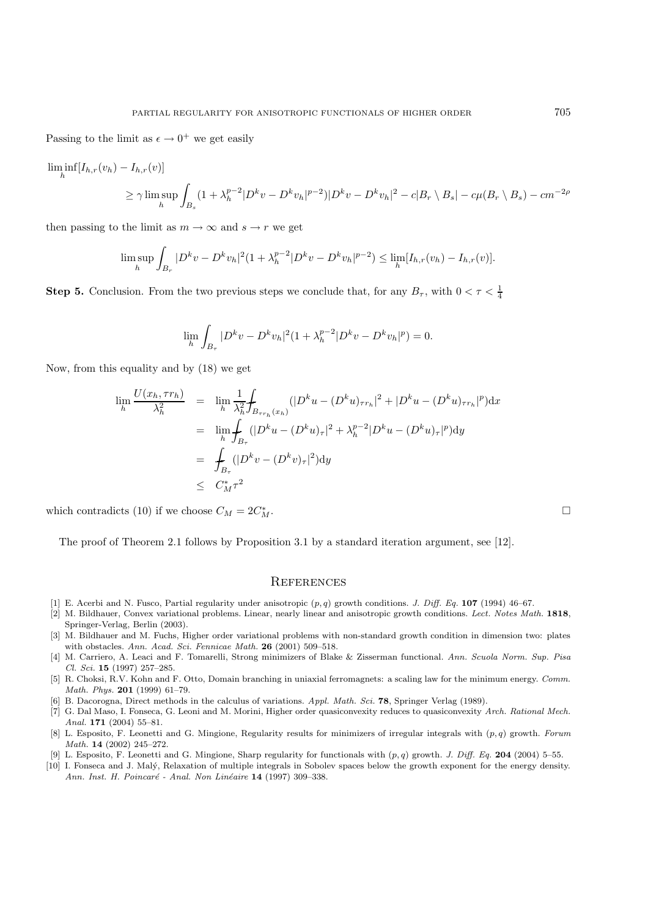Passing to the limit as  $\epsilon \to 0^+$  we get easily

$$
\liminf_{h} [I_{h,r}(v_h) - I_{h,r}(v)]
$$
\n
$$
\geq \gamma \limsup_{h} \int_{B_s} (1 + \lambda_h^{p-2} |D^k v - D^k v_h|^{p-2}) |D^k v - D^k v_h|^2 - c|B_r \setminus B_s| - c\mu(B_r \setminus B_s) - cm^{-2\rho}
$$

then passing to the limit as  $m \to \infty$  and  $s \to r$  we get

$$
\limsup_{h} \int_{B_r} |D^k v - D^k v_h|^2 (1 + \lambda_h^{p-2} |D^k v - D^k v_h|^{p-2}) \leq \lim_{h} [I_{h,r}(v_h) - I_{h,r}(v)].
$$

**Step 5.** Conclusion. From the two previous steps we conclude that, for any  $B_{\tau}$ , with  $0 < \tau < \frac{1}{4}$ 

$$
\lim_{h} \int_{B_{\tau}} |D^k v - D^k v_h|^2 (1 + \lambda_h^{p-2} |D^k v - D^k v_h|^p) = 0.
$$

Now, from this equality and by (18) we get

$$
\lim_{h} \frac{U(x_h, \tau r_h)}{\lambda_h^2} = \lim_{h} \frac{1}{\lambda_h^2} \int_{B_{\tau r_h}(x_h)} (|D^k u - (D^k u)_{\tau r_h}|^2 + |D^k u - (D^k u)_{\tau r_h}|^p) dx
$$
  
\n
$$
= \lim_{h} \int_{B_{\tau}} (|D^k u - (D^k u)_{\tau}|^2 + \lambda_h^{p-2} |D^k u - (D^k u)_{\tau}|^p) dy
$$
  
\n
$$
= \int_{B_{\tau}} (|D^k v - (D^k v)_{\tau}|^2) dy
$$
  
\n
$$
\leq C_M^* \tau^2
$$

which contradicts (10) if we choose  $C_M = 2C_M^*$ .  $\mathbb{Z}^*$ 

The proof of Theorem 2.1 follows by Proposition 3.1 by a standard iteration argument, see [12].

### **REFERENCES**

- [1] E. Acerbi and N. Fusco, Partial regularity under anisotropic (*p, q*) growth conditions. J. Diff. Eq. **107** (1994) 46–67.
- [2] M. Bildhauer, Convex variational problems. Linear, nearly linear and anisotropic growth conditions. Lect. Notes Math. **1818**, Springer-Verlag, Berlin (2003).
- [3] M. Bildhauer and M. Fuchs, Higher order variational problems with non-standard growth condition in dimension two: plates with obstacles. Ann. Acad. Sci. Fennicae Math. **26** (2001) 509–518.
- [4] M. Carriero, A. Leaci and F. Tomarelli, Strong minimizers of Blake & Zisserman functional. Ann. Scuola Norm. Sup. Pisa Cl. Sci. **15** (1997) 257–285.
- [5] R. Choksi, R.V. Kohn and F. Otto, Domain branching in uniaxial ferromagnets: a scaling law for the minimum energy. Comm. Math. Phys. **201** (1999) 61–79.
- [6] B. Dacorogna, Direct methods in the calculus of variations. Appl. Math. Sci. **78**, Springer Verlag (1989).
- [7] G. Dal Maso, I. Fonseca, G. Leoni and M. Morini, Higher order quasiconvexity reduces to quasiconvexity Arch. Rational Mech. Anal. **171** (2004) 55–81.
- [8] L. Esposito, F. Leonetti and G. Mingione, Regularity results for minimizers of irregular integrals with (*p, q*) growth. Forum Math. **14** (2002) 245–272.
- [9] L. Esposito, F. Leonetti and G. Mingione, Sharp regularity for functionals with (*p, q*) growth. J. Diff. Eq. **204** (2004) 5–55.
- [10] I. Fonseca and J. Malý, Relaxation of multiple integrals in Sobolev spaces below the growth exponent for the energy density. Ann. Inst. H. Poincaré - Anal. Non Linéaire 14 (1997) 309-338.